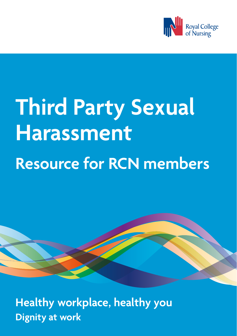

# **Third Party Sexual Harassment Resource for RCN members**



**Healthy workplace, healthy you Dignity at work**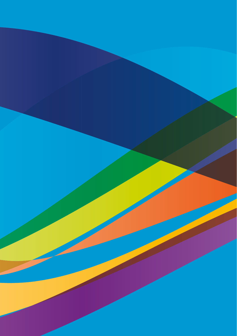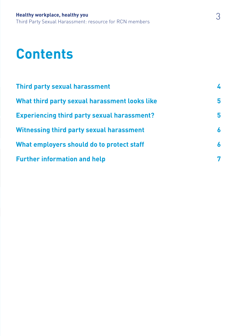## **Contents**

| <b>Third party sexual harassment</b>                                                                |        |
|-----------------------------------------------------------------------------------------------------|--------|
| What third party sexual harassment looks like<br><b>Experiencing third party sexual harassment?</b> | 5<br>5 |
|                                                                                                     |        |
| What employers should do to protect staff                                                           | 6      |
| <b>Further information and help</b>                                                                 | 7      |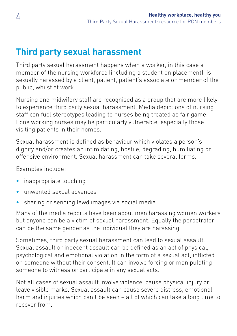### <span id="page-3-0"></span>**Third party sexual harassment**

Third party sexual harassment happens when a worker, in this case a member of the nursing workforce (including a student on placement), is sexually harassed by a client, patient, patient's associate or member of the public, whilst at work.

Nursing and midwifery staff are recognised as a group that are more likely to experience third party sexual harassment. Media depictions of nursing staff can fuel stereotypes leading to nurses being treated as fair game. Lone working nurses may be particularly vulnerable, especially those visiting patients in their homes.

Sexual harassment is defined as behaviour which violates a person's dignity and/or creates an intimidating, hostile, degrading, humiliating or offensive environment. Sexual harassment can take several forms.

Examples include:

- inappropriate touching
- unwanted sexual advances
- sharing or sending lewd images via social media.

Many of the media reports have been about men harassing women workers but anyone can be a victim of sexual harassment. Equally the perpetrator can be the same gender as the individual they are harassing.

Sometimes, third party sexual harassment can lead to sexual assault. Sexual assault or indecent assault can be defined as an act of physical, psychological and emotional violation in the form of a sexual act, inflicted on someone without their consent. It can involve forcing or manipulating someone to witness or participate in any sexual acts.

Not all cases of sexual assault involve violence, cause physical injury or leave visible marks. Sexual assault can cause severe distress, emotional harm and injuries which can't be seen – all of which can take a long time to recover from.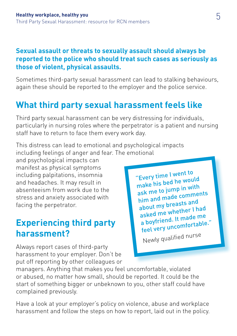#### <span id="page-4-0"></span>**Sexual assault or threats to sexually assault should always be reported to the police who should treat such cases as seriously as those of violent, physical assaults.**

Sometimes third-party sexual harassment can lead to stalking behaviours, again these should be reported to the employer and the police service.

#### **What third party sexual harassment feels like**

Third party sexual harassment can be very distressing for individuals, particularly in nursing roles where the perpetrator is a patient and nursing staff have to return to face them every work day.

This distress can lead to emotional and psychological impacts including feelings of anger and fear. The emotional

and psychological impacts can manifest as physical symptoms including palpitations, insomnia and headaches. It may result in absenteeism from work due to the stress and anxiety associated with facing the perpetrator.

#### **Experiencing third party harassment?**

Always report cases of third-party harassment to your employer. Don't be put off reporting by other colleagues or "Every time I went to make his bed he would ask me to jump in with him and made comments about my breasts an<sup>d</sup> asked me whether I had a boyfriend. It made me feel very uncomfortable."

Newly qualified nurse

managers. Anything that makes you feel uncomfortable, violated or abused, no matter how small, should be reported. It could be the start of something bigger or unbeknown to you, other staff could have complained previously.

Have a look at your employer's policy on violence, abuse and workplace harassment and follow the steps on how to report, laid out in the policy.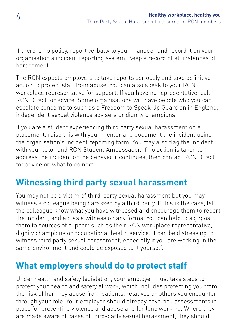<span id="page-5-0"></span>If there is no policy, report verbally to your manager and record it on your organisation's incident reporting system. Keep a record of all instances of harassment.

The RCN expects employers to take reports seriously and take definitive action to protect staff from abuse. You can also speak to your RCN workplace representative for support. If you have no representative, call RCN Direct for advice. Some organisations will have people who you can escalate concerns to such as a Freedom to Speak Up Guardian in England, independent sexual violence advisers or dignity champions.

If you are a student experiencing third party sexual harassment on a placement, raise this with your mentor and document the incident using the organisation's incident reporting form. You may also flag the incident with your tutor and RCN Student Ambassador. If no action is taken to address the incident or the behaviour continues, then contact RCN Direct for advice on what to do next.

### **Witnessing third party sexual harassment**

You may not be a victim of third-party sexual harassment but you may witness a colleague being harassed by a third party. If this is the case, let the colleague know what you have witnessed and encourage them to report the incident, and act as a witness on any forms. You can help to signpost them to sources of support such as their RCN workplace representative, dignity champions or occupational health service. It can be distressing to witness third party sexual harassment, especially if you are working in the same environment and could be exposed to it yourself.

#### **What employers should do to protect staff**

Under health and safety legislation, your employer must take steps to protect your health and safety at work, which includes protecting you from the risk of harm by abuse from patients, relatives or others you encounter through your role. Your employer should already have risk assessments in place for preventing violence and abuse and for lone working. Where they are made aware of cases of third-party sexual harassment, they should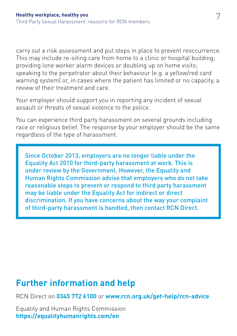<span id="page-6-0"></span>carry out a risk assessment and put steps in place to prevent reoccurrence. This may include re-siting care from home to a clinic or hospital building; providing lone worker alarm devices or doubling up on home visits; speaking to the perpetrator about their behaviour (e.g. a yellow/red card warning system) or, in cases where the patient has limited or no capacity, a review of their treatment and care.

Your employer should support you in reporting any incident of sexual assault or threats of sexual violence to the police.

You can experience third party harassment on several grounds including race or religious belief. The response by your employer should be the same regardless of the type of harassment.

Since October 2013, employers are no longer liable under the Equality Act 2010 for third-party harassment at work. This is under review by the Government. However, the Equality and Human Rights Commission advise that employers who do not take reasonable steps to prevent or respond to third party harassment may be liable under the Equality Act for indirect or direct discrimination. If you have concerns about the way your complaint of third-party harassment is handled, then contact RCN Direct.

#### **Further information and help**

RCN Direct on **0345 772 6100** or **[www.rcn.org.uk/get-help/rcn-advice](http://www.rcn.org.uk/get-help/rcn-advice)**

Equality and Human Rights Commission **<https://equalityhumanrights.com/en>**